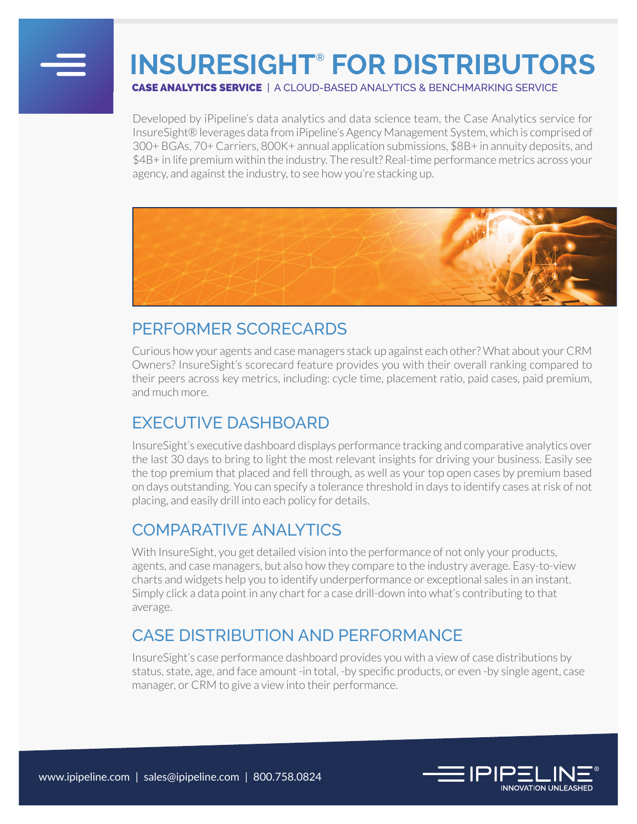

# **INSURESIGHT® FOR DISTRIBUTORS**

CASE ANALYTICS SERVICE | A CLOUD-BASED ANALYTICS & BENCHMARKING SERVICE

Developed by iPipeline's data analytics and data science team, the Case Analytics service for InsureSight® leverages data from iPipeline's Agency Management System, which is comprised of 300+ BGAs, 70+ Carriers, 800K+ annual application submissions, \$8B+ in annuity deposits, and \$4B+ in life premium within the industry. The result? Real-time performance metrics across your agency, and against the industry, to see how you're stacking up.



#### PERFORMER SCORECARDS

Curious how your agents and case managers stack up against each other? What about your CRM Owners? InsureSight's scorecard feature provides you with their overall ranking compared to their peers across key metrics, including: cycle time, placement ratio, paid cases, paid premium, and much more.

#### EXECUTIVE DASHBOARD

InsureSight's executive dashboard displays performance tracking and comparative analytics over the last 30 days to bring to light the most relevant insights for driving your business. Easily see the top premium that placed and fell through, as well as your top open cases by premium based on days outstanding. You can specify a tolerance threshold in days to identify cases at risk of not placing, and easily drill into each policy for details.

#### COMPARATIVE ANALYTICS

With InsureSight, you get detailed vision into the performance of not only your products, agents, and case managers, but also how they compare to the industry average. Easy-to-view charts and widgets help you to identify underperformance or exceptional sales in an instant. Simply click a data point in any chart for a case drill-down into what's contributing to that average.

### CASE DISTRIBUTION AND PERFORMANCE

InsureSight's case performance dashboard provides you with a view of case distributions by status, state, age, and face amount -in total, -by specific products, or even -by single agent, case manager, or CRM to give a view into their performance.